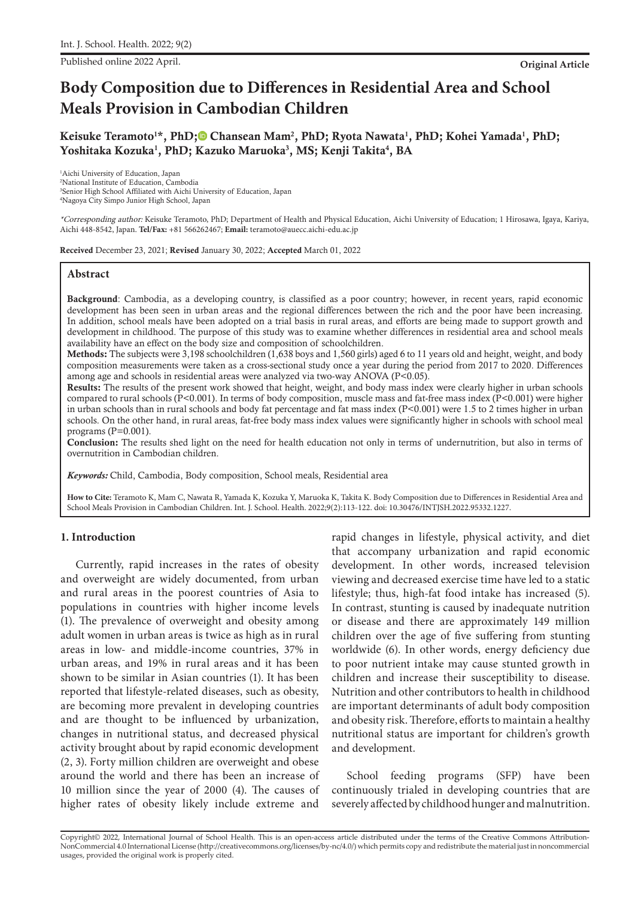Published online 2022 April. **Original Article**

# **Body Composition due to Differences in Residential Area and School Meals Provision in Cambodian Children**

Keisuke Teramoto<sup>1\*</sup>, PhD;<sup>®</sup> Chansean Mam<sup>2</sup>, PhD[;](https://orcid.org/0000-0003-1675-1098) Ryota Nawata<sup>1</sup>, PhD; Kohei Yamada<sup>1</sup>, PhD; Yoshitaka Kozuka<sup>1</sup>, PhD; Kazuko Maruoka<sup>3</sup>, MS; Kenji Takita<sup>4</sup>, BA

1 Aichi University of Education, Japan

2 National Institute of Education, Cambodia

3 Senior High School Affiliated with Aichi University of Education, Japan

4 Nagoya City Simpo Junior High School, Japan

\*Corresponding author: Keisuke Teramoto, PhD; Department of Health and Physical Education, Aichi University of Education; 1 Hirosawa, Igaya, Kariya, Aichi 448-8542, Japan. **Tel/Fax:** +81 566262467; **Email:** teramoto@auecc.aichi-edu.ac.jp

Received December 23, 2021; Revised January 30, 2022; Accepted March 01, 2022

#### **Abstract**

Background: Cambodia, as a developing country, is classified as a poor country; however, in recent years, rapid economic development has been seen in urban areas and the regional differences between the rich and the poor have been increasing. In addition, school meals have been adopted on a trial basis in rural areas, and efforts are being made to support growth and development in childhood. The purpose of this study was to examine whether differences in residential area and school meals availability have an effect on the body size and composition of schoolchildren.

Methods: The subjects were 3,198 schoolchildren (1,638 boys and 1,560 girls) aged 6 to 11 years old and height, weight, and body composition measurements were taken as a cross-sectional study once a year during the period from 2017 to 2020. Differences among age and schools in residential areas were analyzed via two-way ANOVA (P<0.05).

Results: The results of the present work showed that height, weight, and body mass index were clearly higher in urban schools compared to rural schools (P<0.001). In terms of body composition, muscle mass and fat-free mass index (P<0.001) were higher in urban schools than in rural schools and body fat percentage and fat mass index (P<0.001) were 1.5 to 2 times higher in urban schools. On the other hand, in rural areas, fat-free body mass index values were significantly higher in schools with school meal programs  $(P=0.001)$ .

Conclusion: The results shed light on the need for health education not only in terms of undernutrition, but also in terms of overnutrition in Cambodian children.

*Keywords:* Child, Cambodia, Body composition, School meals, Residential area

**How to Cite:** Teramoto K, Mam C, Nawata R, Yamada K, Kozuka Y, Maruoka K, Takita K. Body Composition due to Differences in Residential Area and School Meals Provision in Cambodian Children. Int. J. School. Health. 2022;9(2):113-122. doi: 10.30476/INTJSH.2022.95332.1227.

#### **1. Introduction**

Currently, rapid increases in the rates of obesity and overweight are widely documented, from urban and rural areas in the poorest countries of Asia to populations in countries with higher income levels (1). The prevalence of overweight and obesity among adult women in urban areas is twice as high as in rural areas in low- and middle-income countries, 37% in urban areas, and 19% in rural areas and it has been shown to be similar in Asian countries (1). It has been reported that lifestyle-related diseases, such as obesity, are becoming more prevalent in developing countries and are thought to be influenced by urbanization, changes in nutritional status, and decreased physical activity brought about by rapid economic development (2, 3). Forty million children are overweight and obese around the world and there has been an increase of 10 million since the year of 2000 (4). The causes of higher rates of obesity likely include extreme and rapid changes in lifestyle, physical activity, and diet that accompany urbanization and rapid economic development. In other words, increased television viewing and decreased exercise time have led to a static lifestyle; thus, high-fat food intake has increased (5). In contrast, stunting is caused by inadequate nutrition or disease and there are approximately 149 million children over the age of five suffering from stunting worldwide (6). In other words, energy deficiency due to poor nutrient intake may cause stunted growth in children and increase their susceptibility to disease. Nutrition and other contributors to health in childhood are important determinants of adult body composition and obesity risk. Therefore, efforts to maintain a healthy nutritional status are important for children's growth and development.

School feeding programs (SFP) have been continuously trialed in developing countries that are severely affected by childhood hunger and malnutrition.

Copyright© 2022, International Journal of School Health. This is an open-access article distributed under the terms of the Creative Commons Attribution-NonCommercial 4.0 International License (http://creativecommons.org/licenses/by-nc/4.0/) which permits copy and redistribute the material just in noncommercial usages, provided the original work is properly cited.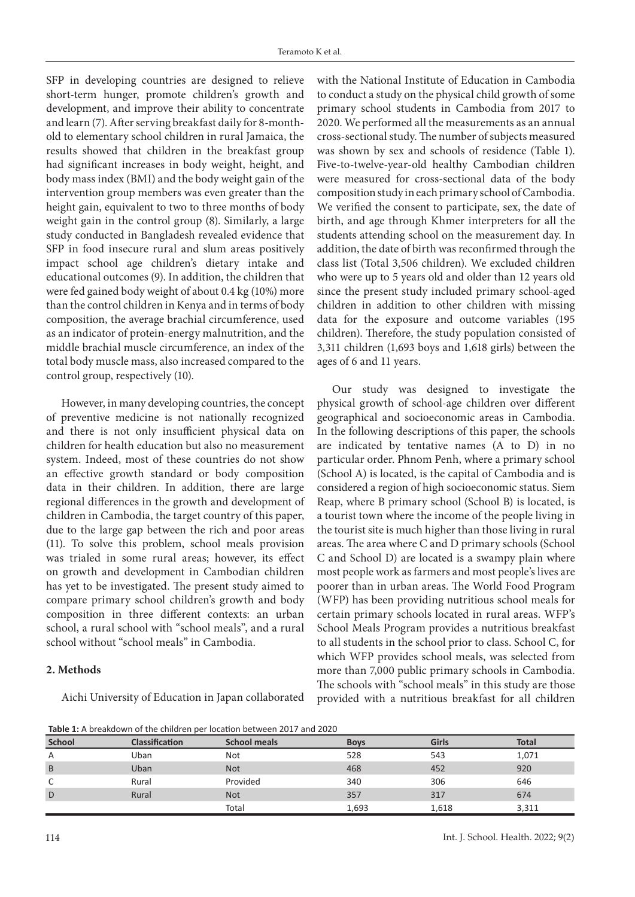SFP in developing countries are designed to relieve short-term hunger, promote children's growth and development, and improve their ability to concentrate and learn (7). After serving breakfast daily for 8-monthold to elementary school children in rural Jamaica, the results showed that children in the breakfast group had significant increases in body weight, height, and body mass index (BMI) and the body weight gain of the intervention group members was even greater than the height gain, equivalent to two to three months of body weight gain in the control group (8). Similarly, a large study conducted in Bangladesh revealed evidence that SFP in food insecure rural and slum areas positively impact school age children's dietary intake and educational outcomes (9). In addition, the children that were fed gained body weight of about 0.4 kg (10%) more than the control children in Kenya and in terms of body composition, the average brachial circumference, used as an indicator of protein-energy malnutrition, and the middle brachial muscle circumference, an index of the total body muscle mass, also increased compared to the control group, respectively (10).

However, in many developing countries, the concept of preventive medicine is not nationally recognized and there is not only insufficient physical data on children for health education but also no measurement system. Indeed, most of these countries do not show an effective growth standard or body composition data in their children. In addition, there are large regional differences in the growth and development of children in Cambodia, the target country of this paper, due to the large gap between the rich and poor areas (11). To solve this problem, school meals provision was trialed in some rural areas; however, its effect on growth and development in Cambodian children has yet to be investigated. The present study aimed to compare primary school children's growth and body composition in three different contexts: an urban school, a rural school with "school meals", and a rural school without "school meals" in Cambodia.

## **2. Methods**

Aichi University of Education in Japan collaborated

with the National Institute of Education in Cambodia to conduct a study on the physical child growth of some primary school students in Cambodia from 2017 to 2020. We performed all the measurements as an annual cross-sectional study. The number of subjects measured was shown by sex and schools of residence (Table 1). Five-to-twelve-year-old healthy Cambodian children were measured for cross-sectional data of the body composition study in each primary school of Cambodia. We verified the consent to participate, sex, the date of birth, and age through Khmer interpreters for all the students attending school on the measurement day. In addition, the date of birth was reconfirmed through the class list (Total 3,506 children). We excluded children who were up to 5 years old and older than 12 years old since the present study included primary school-aged children in addition to other children with missing data for the exposure and outcome variables (195 children). Therefore, the study population consisted of 3,311 children (1,693 boys and 1,618 girls) between the ages of 6 and 11 years.

Our study was designed to investigate the physical growth of school-age children over different geographical and socioeconomic areas in Cambodia. In the following descriptions of this paper, the schools are indicated by tentative names (A to D) in no particular order. Phnom Penh, where a primary school (School A) is located, is the capital of Cambodia and is considered a region of high socioeconomic status. Siem Reap, where B primary school (School B) is located, is a tourist town where the income of the people living in the tourist site is much higher than those living in rural areas. The area where C and D primary schools (School C and School D) are located is a swampy plain where most people work as farmers and most people's lives are poorer than in urban areas. The World Food Program (WFP) has been providing nutritious school meals for certain primary schools located in rural areas. WFP's School Meals Program provides a nutritious breakfast to all students in the school prior to class. School C, for which WFP provides school meals, was selected from more than 7,000 public primary schools in Cambodia. The schools with "school meals" in this study are those provided with a nutritious breakfast for all children

**Table 1:** A breakdown of the children per location between 2017 and 2020

| <b>School</b> | <b>Classification</b> | <b>School meals</b> | <b>Boys</b> | Girls | <b>Total</b> |
|---------------|-----------------------|---------------------|-------------|-------|--------------|
| A             | Uban                  | Not                 | 528         | 543   | 1,071        |
| B             | <b>Uban</b>           | <b>Not</b>          | 468         | 452   | 920          |
|               | Rural                 | Provided            | 340         | 306   | 646          |
| D             | Rural                 | <b>Not</b>          | 357         | 317   | 674          |
|               |                       | Total               | 1,693       | 1,618 | 3,311        |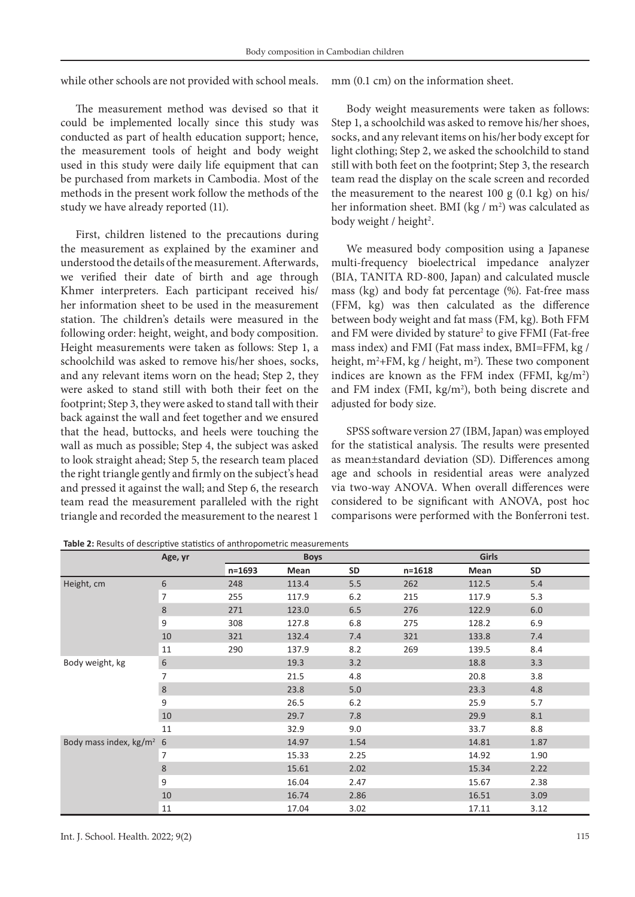while other schools are not provided with school meals.

mm (0.1 cm) on the information sheet.

The measurement method was devised so that it could be implemented locally since this study was conducted as part of health education support; hence, the measurement tools of height and body weight used in this study were daily life equipment that can be purchased from markets in Cambodia. Most of the methods in the present work follow the methods of the study we have already reported (11).

First, children listened to the precautions during the measurement as explained by the examiner and understood the details of the measurement. Afterwards, we verified their date of birth and age through Khmer interpreters. Each participant received his/ her information sheet to be used in the measurement station. The children's details were measured in the following order: height, weight, and body composition. Height measurements were taken as follows: Step 1, a schoolchild was asked to remove his/her shoes, socks, and any relevant items worn on the head; Step 2, they were asked to stand still with both their feet on the footprint; Step 3, they were asked to stand tall with their back against the wall and feet together and we ensured that the head, buttocks, and heels were touching the wall as much as possible; Step 4, the subject was asked to look straight ahead; Step 5, the research team placed the right triangle gently and firmly on the subject's head and pressed it against the wall; and Step 6, the research team read the measurement paralleled with the right triangle and recorded the measurement to the nearest 1

Body weight measurements were taken as follows: Step 1, a schoolchild was asked to remove his/her shoes, socks, and any relevant items on his/her body except for light clothing; Step 2, we asked the schoolchild to stand still with both feet on the footprint; Step 3, the research team read the display on the scale screen and recorded the measurement to the nearest 100 g (0.1 kg) on his/ her information sheet. BMI ( $\text{kg / m}^2$ ) was calculated as body weight / height<sup>2</sup>.

We measured body composition using a Japanese multi-frequency bioelectrical impedance analyzer (BIA, TANITA RD-800, Japan) and calculated muscle mass (kg) and body fat percentage (%). Fat-free mass (FFM, kg) was then calculated as the difference between body weight and fat mass (FM, kg). Both FFM and FM were divided by stature<sup>2</sup> to give FFMI (Fat-free mass index) and FMI (Fat mass index, BMI=FFM, kg / height, m<sup>2</sup>+FM, kg / height, m<sup>2</sup>). These two component indices are known as the FFM index (FFMI,  $kg/m^2$ ) and FM index (FMI,  $\text{kg/m}^2$ ), both being discrete and adjusted for body size.

SPSS software version 27 (IBM, Japan) was employed for the statistical analysis. The results were presented as mean±standard deviation (SD). Differences among age and schools in residential areas were analyzed via two-way ANOVA. When overall differences were considered to be significant with ANOVA, post hoc comparisons were performed with the Bonferroni test.

|                                    | Age, yr     |            | <b>Boys</b> |       |            | Girls |           |
|------------------------------------|-------------|------------|-------------|-------|------------|-------|-----------|
|                                    |             | $n = 1693$ | Mean        | SD    | $n = 1618$ | Mean  | <b>SD</b> |
| Height, cm                         | 6           | 248        | 113.4       | 5.5   | 262        | 112.5 | 5.4       |
|                                    | 7           | 255        | 117.9       | $6.2$ | 215        | 117.9 | 5.3       |
|                                    | $\,8\,$     | 271        | 123.0       | 6.5   | 276        | 122.9 | $6.0$     |
|                                    | 9           | 308        | 127.8       | 6.8   | 275        | 128.2 | 6.9       |
|                                    | 10          | 321        | 132.4       | 7.4   | 321        | 133.8 | 7.4       |
|                                    | 11          | 290        | 137.9       | 8.2   | 269        | 139.5 | 8.4       |
| Body weight, kg                    | $\,$ 6 $\,$ |            | 19.3        | 3.2   |            | 18.8  | 3.3       |
|                                    | 7           |            | 21.5        | 4.8   |            | 20.8  | 3.8       |
|                                    | $\,$ 8 $\,$ |            | 23.8        | $5.0$ |            | 23.3  | 4.8       |
|                                    | 9           |            | 26.5        | $6.2$ |            | 25.9  | 5.7       |
|                                    | 10          |            | 29.7        | 7.8   |            | 29.9  | 8.1       |
|                                    | 11          |            | 32.9        | 9.0   |            | 33.7  | 8.8       |
| Body mass index, $\text{kg/m}^2$ 6 |             |            | 14.97       | 1.54  |            | 14.81 | 1.87      |
|                                    | 7           |            | 15.33       | 2.25  |            | 14.92 | 1.90      |
|                                    | 8           |            | 15.61       | 2.02  |            | 15.34 | 2.22      |
|                                    | 9           |            | 16.04       | 2.47  |            | 15.67 | 2.38      |
|                                    | 10          |            | 16.74       | 2.86  |            | 16.51 | 3.09      |
|                                    | 11          |            | 17.04       | 3.02  |            | 17.11 | 3.12      |

**Table 2:** Results of descriptive statistics of anthropometric measurements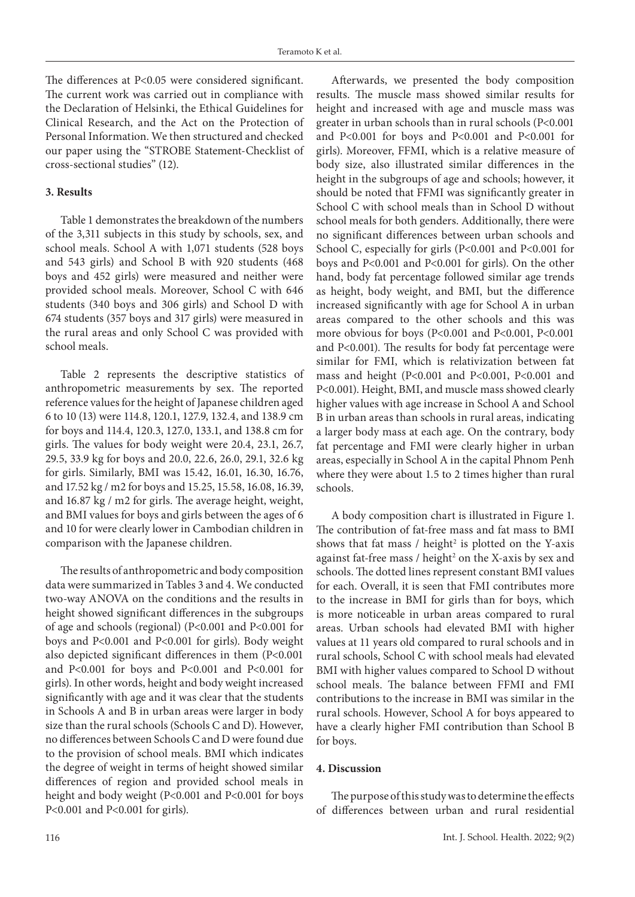The differences at P<0.05 were considered significant. The current work was carried out in compliance with the Declaration of Helsinki, the Ethical Guidelines for Clinical Research, and the Act on the Protection of Personal Information. We then structured and checked our paper using the "STROBE Statement-Checklist of cross-sectional studies" (12).

### **3. Results**

Table 1 demonstrates the breakdown of the numbers of the 3,311 subjects in this study by schools, sex, and school meals. School A with 1,071 students (528 boys and 543 girls) and School B with 920 students (468 boys and 452 girls) were measured and neither were provided school meals. Moreover, School C with 646 students (340 boys and 306 girls) and School D with 674 students (357 boys and 317 girls) were measured in the rural areas and only School C was provided with school meals.

Table 2 represents the descriptive statistics of anthropometric measurements by sex. The reported reference values for the height of Japanese children aged 6 to 10 (13) were 114.8, 120.1, 127.9, 132.4, and 138.9 cm for boys and 114.4, 120.3, 127.0, 133.1, and 138.8 cm for girls. The values for body weight were 20.4, 23.1, 26.7, 29.5, 33.9 kg for boys and 20.0, 22.6, 26.0, 29.1, 32.6 kg for girls. Similarly, BMI was 15.42, 16.01, 16.30, 16.76, and 17.52 kg / m2 for boys and 15.25, 15.58, 16.08, 16.39, and 16.87 kg / m2 for girls. The average height, weight, and BMI values for boys and girls between the ages of 6 and 10 for were clearly lower in Cambodian children in comparison with the Japanese children.

The results of anthropometric and body composition data were summarized in Tables 3 and 4. We conducted two-way ANOVA on the conditions and the results in height showed significant differences in the subgroups of age and schools (regional) (P<0.001 and P<0.001 for boys and P<0.001 and P<0.001 for girls). Body weight also depicted significant differences in them (P<0.001 and P<0.001 for boys and P<0.001 and P<0.001 for girls). In other words, height and body weight increased significantly with age and it was clear that the students in Schools A and B in urban areas were larger in body size than the rural schools (Schools C and D). However, no differences between Schools C and D were found due to the provision of school meals. BMI which indicates the degree of weight in terms of height showed similar differences of region and provided school meals in height and body weight (P<0.001 and P<0.001 for boys P<0.001 and P<0.001 for girls).

Afterwards, we presented the body composition results. The muscle mass showed similar results for height and increased with age and muscle mass was greater in urban schools than in rural schools (P<0.001 and P<0.001 for boys and P<0.001 and P<0.001 for girls). Moreover, FFMI, which is a relative measure of body size, also illustrated similar differences in the height in the subgroups of age and schools; however, it should be noted that FFMI was significantly greater in School C with school meals than in School D without school meals for both genders. Additionally, there were no significant differences between urban schools and School C, especially for girls (P<0.001 and P<0.001 for boys and P<0.001 and P<0.001 for girls). On the other hand, body fat percentage followed similar age trends as height, body weight, and BMI, but the difference increased significantly with age for School A in urban areas compared to the other schools and this was more obvious for boys (P<0.001 and P<0.001, P<0.001 and P<0.001). The results for body fat percentage were similar for FMI, which is relativization between fat mass and height (P<0.001 and P<0.001, P<0.001 and P<0.001). Height, BMI, and muscle mass showed clearly higher values with age increase in School A and School B in urban areas than schools in rural areas, indicating a larger body mass at each age. On the contrary, body fat percentage and FMI were clearly higher in urban areas, especially in School A in the capital Phnom Penh where they were about 1.5 to 2 times higher than rural schools.

A body composition chart is illustrated in Figure 1. The contribution of fat-free mass and fat mass to BMI shows that fat mass  $/$  height<sup>2</sup> is plotted on the Y-axis against fat-free mass / height<sup>2</sup> on the X-axis by sex and schools. The dotted lines represent constant BMI values for each. Overall, it is seen that FMI contributes more to the increase in BMI for girls than for boys, which is more noticeable in urban areas compared to rural areas. Urban schools had elevated BMI with higher values at 11 years old compared to rural schools and in rural schools, School C with school meals had elevated BMI with higher values compared to School D without school meals. The balance between FFMI and FMI contributions to the increase in BMI was similar in the rural schools. However, School A for boys appeared to have a clearly higher FMI contribution than School B for boys.

#### **4. Discussion**

The purpose of this study was to determine the effects of differences between urban and rural residential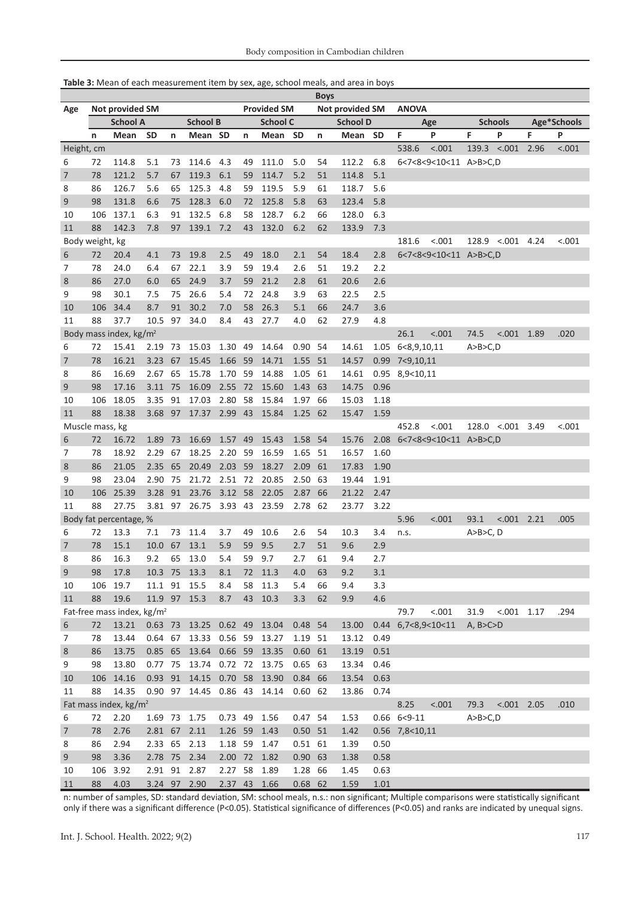|                 |                 |                                   |           |    |                             |              |                    |         |           |                 | <b>Boys</b> |              |                      |                             |                |                            |      |             |  |  |
|-----------------|-----------------|-----------------------------------|-----------|----|-----------------------------|--------------|--------------------|---------|-----------|-----------------|-------------|--------------|----------------------|-----------------------------|----------------|----------------------------|------|-------------|--|--|
| Age             | Not provided SM |                                   |           |    |                             |              | <b>Provided SM</b> |         |           | Not provided SM |             | <b>ANOVA</b> |                      |                             |                |                            |      |             |  |  |
|                 |                 | <b>School A</b>                   |           |    | <b>School B</b>             |              | <b>School C</b>    |         |           | <b>School D</b> |             |              | Age                  |                             | <b>Schools</b> |                            |      | Age*Schools |  |  |
|                 | n               | Mean                              | <b>SD</b> | n  | Mean SD                     |              | n                  | Mean    | <b>SD</b> | n               | Mean        | <b>SD</b>    | F                    | P                           | F              | P                          | F    | P           |  |  |
| Height, cm      |                 |                                   |           |    |                             |              |                    |         |           |                 |             |              | 538.6                | < .001                      | 139.3 <.001    |                            | 2.96 | < .001      |  |  |
| 6               | 72              | 114.8                             | 5.1       | 73 | 114.6                       | 4.3          | 49                 | 111.0   | 5.0       | 54              | 112.2       | 6.8          |                      | 6<7<8<9<10<11 A>B>C,D       |                |                            |      |             |  |  |
| 7               | 78              | 121.2                             | 5.7       | 67 | 119.3                       | 6.1          | 59                 | 114.7   | 5.2       | 51              | 114.8       | 5.1          |                      |                             |                |                            |      |             |  |  |
| 8               | 86              | 126.7                             | 5.6       | 65 | 125.3                       | 4.8          | 59                 | 119.5   | 5.9       | 61              | 118.7       | 5.6          |                      |                             |                |                            |      |             |  |  |
| 9               | 98              | 131.8                             | 6.6       | 75 | 128.3                       | 6.0          | 72                 | 125.8   | 5.8       | 63              | 123.4       | 5.8          |                      |                             |                |                            |      |             |  |  |
| 10              | 106             | 137.1                             | 6.3       | 91 | 132.5                       | 6.8          | 58                 | 128.7   | 6.2       | 66              | 128.0       | 6.3          |                      |                             |                |                            |      |             |  |  |
| 11              | 88              | 142.3                             | 7.8       | 97 | 139.1 7.2                   |              | 43                 | 132.0   | 6.2       | 62              | 133.9       | 7.3          |                      |                             |                |                            |      |             |  |  |
| Body weight, kg |                 |                                   |           |    |                             |              |                    |         |           |                 |             |              | 181.6                | < .001                      |                | $128.9$ < 001 4.24         |      | < .001      |  |  |
| 6               | 72              | 20.4                              | 4.1       | 73 | 19.8                        | 2.5          | 49                 | 18.0    | 2.1       | 54              | 18.4        | 2.8          |                      | 6<7<8<9<10<11 A>B>C,D       |                |                            |      |             |  |  |
| 7               | 78              | 24.0                              | 6.4       | 67 | 22.1                        | 3.9          | 59                 | 19.4    | 2.6       | 51              | 19.2        | 2.2          |                      |                             |                |                            |      |             |  |  |
| 8               | 86              | 27.0                              | 6.0       | 65 | 24.9                        | 3.7          | 59                 | 21.2    | 2.8       | 61              | 20.6        | 2.6          |                      |                             |                |                            |      |             |  |  |
| 9               | 98              | 30.1                              | 7.5       | 75 | 26.6                        | 5.4          | 72                 | 24.8    | 3.9       | 63              | 22.5        | 2.5          |                      |                             |                |                            |      |             |  |  |
| 10              | 106             | 34.4                              | 8.7       | 91 | 30.2                        | 7.0          | 58                 | 26.3    | 5.1       | 66              | 24.7        | 3.6          |                      |                             |                |                            |      |             |  |  |
| 11              | 88              | 37.7                              | 10.5      | 97 | 34.0                        | 8.4          | 43                 | 27.7    | 4.0       | 62              | 27.9        | 4.8          |                      |                             |                |                            |      |             |  |  |
|                 |                 | Body mass index, $kg/m^2$         |           |    |                             |              |                    |         |           |                 |             |              | 26.1                 | < .001                      | 74.5           | < .001                     | 1.89 | .020        |  |  |
| 6               | 72              | 15.41                             | 2.19      | 73 | 15.03                       | 1.30         | 49                 | 14.64   | 0.90      | 54              | 14.61       |              | 1.05 6<8,9,10,11     |                             | A>B>C,D        |                            |      |             |  |  |
| 7               | 78              | 16.21                             | 3.23      | 67 | 15.45                       | 1.66         | 59                 | 14.71   | 1.55      | 51              | 14.57       |              | $0.99$ 7 < $9,10,11$ |                             |                |                            |      |             |  |  |
| 8               | 86              | 16.69                             | 2.67      | 65 | 15.78                       | 1.70         | -59                | 14.88   | 1.05      | 61              | 14.61       |              | $0.95$ 8,9<10,11     |                             |                |                            |      |             |  |  |
| 9               | 98              | 17.16                             | 3.11 75   |    | 16.09                       | 2.55         | 72                 | 15.60   | 1.43      | 63              | 14.75       | 0.96         |                      |                             |                |                            |      |             |  |  |
| 10              | 106             | 18.05                             | 3.35 91   |    | 17.03                       | 2.80         | 58                 | 15.84   | 1.97      | 66              | 15.03       | 1.18         |                      |                             |                |                            |      |             |  |  |
| 11              | 88              | 18.38                             | 3.68 97   |    | 17.37                       | 2.99 43      |                    | 15.84   | 1.25      | 62              | 15.47       | 1.59         |                      |                             |                |                            |      |             |  |  |
| Muscle mass, kg |                 |                                   |           |    |                             |              |                    |         |           |                 |             |              | 452.8                | < .001                      |                | $128.0 \le 0.001 \le 3.49$ |      | < .001      |  |  |
| 6               | 72              | 16.72                             | 1.89      | 73 | 16.69                       | 1.57         | 49                 | 15.43   | 1.58      | 54              | 15.76       | 2.08         |                      | 6<7<8<9<10<11 A>B>C,D       |                |                            |      |             |  |  |
| 7               | 78              | 18.92                             | 2.29      | 67 | 18.25                       | 2.20         | 59                 | 16.59   | 1.65      | 51              | 16.57       | 1.60         |                      |                             |                |                            |      |             |  |  |
| 8               | 86              | 21.05                             | 2.35      | 65 | 20.49                       | 2.03         | 59                 | 18.27   | 2.09      | 61              | 17.83       | 1.90         |                      |                             |                |                            |      |             |  |  |
| 9               | 98              | 23.04                             | 2.90      | 75 | 21.72                       | 2.51 72      |                    | 20.85   | 2.50      | 63              | 19.44       | 1.91         |                      |                             |                |                            |      |             |  |  |
| 10              | 106             | 25.39                             | 3.28      | 91 | 23.76                       | 3.12         | 58                 | 22.05   | 2.87      | 66              | 21.22       | 2.47         |                      |                             |                |                            |      |             |  |  |
| 11              | 88              | 27.75                             | 3.81 97   |    | 26.75                       | 3.93         | -43                | 23.59   | 2.78      | - 62            | 23.77       | 3.22         |                      |                             |                |                            |      |             |  |  |
|                 |                 | Body fat percentage, %            |           |    |                             |              |                    |         |           |                 |             |              | 5.96                 | < .001                      | 93.1           | $< 001$ 2.21               |      | .005        |  |  |
| 6               | 72              | 13.3                              | 7.1       | 73 | 11.4                        | 3.7          | 49                 | 10.6    | 2.6       | 54              | 10.3        | 3.4          | n.s.                 |                             | A>B>C, D       |                            |      |             |  |  |
| 7               | 78              | 15.1                              | 10.0      | 67 | 13.1                        | 5.9          | 59                 | 9.5     | 2.7       | 51              | 9.6         | 2.9          |                      |                             |                |                            |      |             |  |  |
| 8               | 86              | 16.3                              | 9.2       | 65 | 13.0                        | 5.4          | 59                 | 9.7     | 2.7       | 61              | 9.4         | 2.7          |                      |                             |                |                            |      |             |  |  |
| 9               | 98              | 17.8                              |           |    | 10.3 75 13.3                | 8.1          | 72                 | 11.3    | 4.0       | 63              | 9.2         | 3.1          |                      |                             |                |                            |      |             |  |  |
| 10              |                 | 106 19.7                          |           |    | 11.1 91 15.5                | 8.4          | 58                 | 11.3    | 5.4       | 66              | 9.4         | 3.3          |                      |                             |                |                            |      |             |  |  |
| 11              | 88              | 19.6                              |           |    | 11.9 97 15.3                | 8.7          |                    | 43 10.3 | 3.3       | 62              | 9.9         | 4.6          |                      |                             |                |                            |      |             |  |  |
|                 |                 | Fat-free mass index, $kg/m^2$     |           |    |                             |              |                    |         |           |                 |             |              | 79.7                 | < .001                      | 31.9           | $< 001$ 1.17               |      | .294        |  |  |
| 6               | 72              | 13.21                             |           |    | 0.63 73 13.25 0.62 49       |              |                    | 13.04   | 0.48 54   |                 | 13.00       |              |                      | 0.44 6,7<8,9<10<11 A, B>C>D |                |                            |      |             |  |  |
| $\overline{7}$  | 78              | 13.44                             | 0.64 67   |    | 13.33 0.56 59               |              |                    | 13.27   | 1.19 51   |                 | 13.12       | 0.49         |                      |                             |                |                            |      |             |  |  |
| 8               | 86              | 13.75                             |           |    | 0.85 65 13.64 0.66 59 13.35 |              |                    |         | $0.60$ 61 |                 | 13.19       | 0.51         |                      |                             |                |                            |      |             |  |  |
| 9               | 98              | 13.80                             |           |    | 0.77 75 13.74 0.72 72 13.75 |              |                    |         | $0.65$ 63 |                 | 13.34       | 0.46         |                      |                             |                |                            |      |             |  |  |
| 10              |                 | 106 14.16                         |           |    | 0.93 91 14.15 0.70 58       |              |                    | 13.90   | 0.84 66   |                 | 13.54       | 0.63         |                      |                             |                |                            |      |             |  |  |
| 11              | 88              | 14.35                             |           |    | 0.90 97 14.45 0.86 43 14.14 |              |                    |         | $0.60$ 62 |                 | 13.86       | 0.74         |                      |                             |                |                            |      |             |  |  |
|                 |                 | Fat mass index, kg/m <sup>2</sup> |           |    |                             |              |                    |         |           |                 |             |              | 8.25                 | < .001                      |                | 79.3 <.001 2.05            |      | .010        |  |  |
| 6               | 72              | 2.20                              |           |    | 1.69 73 1.75                | 0.73 49      |                    | 1.56    | 0.47 54   |                 | 1.53        |              | $0.66$ $6 < 9 - 11$  |                             | A > B > C, D   |                            |      |             |  |  |
| $\overline{7}$  | 78              | 2.76                              |           |    | 2.81 67 2.11                | 1.26 59      |                    | 1.43    | $0.50$ 51 |                 | 1.42        |              | 0.56 7,8 < 10,11     |                             |                |                            |      |             |  |  |
| 8               | 86              | 2.94                              |           |    | 2.33 65 2.13                | 1.18 59      |                    | 1.47    | 0.51 61   |                 | 1.39        | 0.50         |                      |                             |                |                            |      |             |  |  |
| 9               | 98              | 3.36                              |           |    | 2.78 75 2.34                | 2.00 72 1.82 |                    |         | $0.90$ 63 |                 | 1.38        | 0.58         |                      |                             |                |                            |      |             |  |  |
| 10              | 106             | 3.92                              |           |    | 2.91 91 2.87                | 2.27 58 1.89 |                    |         | 1.28 66   |                 | 1.45        | 0.63         |                      |                             |                |                            |      |             |  |  |
| 11              | 88              | 4.03                              |           |    | 3.24 97 2.90                | 2.37 43 1.66 |                    |         | 0.68 62   |                 | 1.59        | 1.01         |                      |                             |                |                            |      |             |  |  |

**Table 3:** Mean of each measurement item by sex, age, school meals, and area in boys

n: number of samples, SD: standard deviation, SM: school meals, n.s.: non significant; Multiple comparisons were statistically significant only if there was a significant difference (P<0.05). Statistical significance of differences (P<0.05) and ranks are indicated by unequal signs.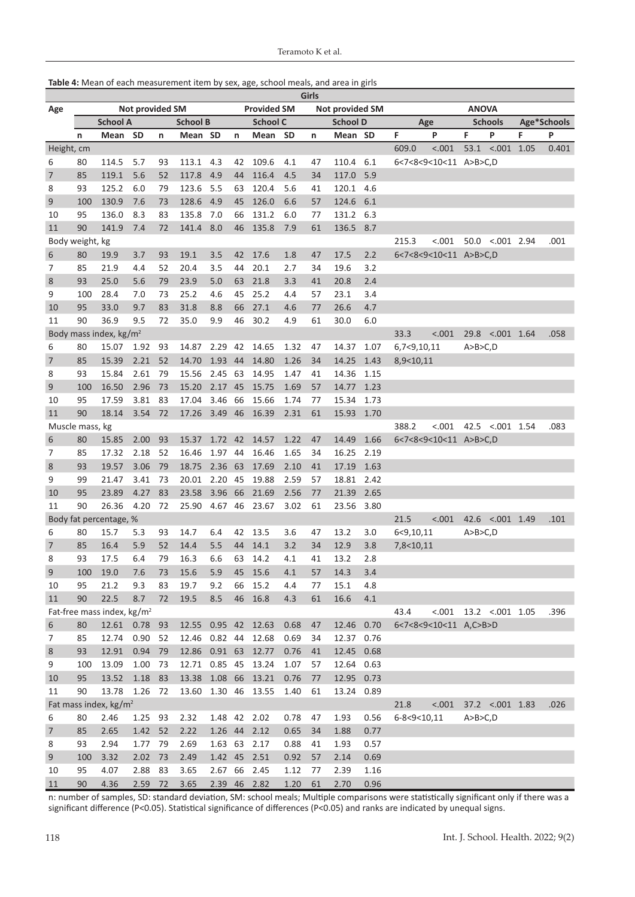| Table 4: Mean of each measurement item by sex, age, school meals, and area in girls |  |
|-------------------------------------------------------------------------------------|--|
|-------------------------------------------------------------------------------------|--|

| Girls           |                 |                                        |              |    |                        |         |          |                        |      |          |                 |      |                     |        |                             |  |               |             |  |
|-----------------|-----------------|----------------------------------------|--------------|----|------------------------|---------|----------|------------------------|------|----------|-----------------|------|---------------------|--------|-----------------------------|--|---------------|-------------|--|
| Age             | Not provided SM |                                        |              |    |                        |         |          | <b>Provided SM</b>     |      |          | Not provided SM |      | <b>ANOVA</b>        |        |                             |  |               |             |  |
|                 |                 | <b>School A</b>                        |              |    | <b>School B</b>        |         |          | <b>School C</b>        |      |          | <b>School D</b> |      | Age                 |        | <b>Schools</b>              |  |               | Age*Schools |  |
|                 | n               | Mean                                   | <b>SD</b>    | n  | Mean SD                |         | n        | Mean SD                |      | n        | Mean SD         |      | F                   | P      | F<br>P                      |  | F             | P           |  |
| Height, cm      |                 |                                        |              |    |                        |         |          |                        |      |          |                 |      | 609.0               | < .001 | 53.1                        |  | $< 0.01$ 1.05 | 0.401       |  |
| 6               | 80              | 114.5                                  | 5.7          | 93 | 113.1                  | 4.3     | 42       | 109.6                  | 4.1  | 47       | 110.4           | 6.1  |                     |        | 6<7<8<9<10<11 A>B>C,D       |  |               |             |  |
| 7               | 85              | 119.1                                  | 5.6          | 52 | 117.8                  | 4.9     | 44       | 116.4                  | 4.5  | 34       | 117.0           | 5.9  |                     |        |                             |  |               |             |  |
| 8               | 93              | 125.2                                  | 6.0          | 79 | 123.6                  | 5.5     | 63       | 120.4                  | 5.6  | 41       | 120.1           | 4.6  |                     |        |                             |  |               |             |  |
| 9               | 100             | 130.9                                  | 7.6          | 73 | 128.6                  | 4.9     | 45       | 126.0                  | 6.6  | 57       | 124.6           | 6.1  |                     |        |                             |  |               |             |  |
| 10              | 95              | 136.0                                  | 8.3          | 83 | 135.8                  | 7.0     | 66       | 131.2                  | 6.0  | 77       | 131.2           | 6.3  |                     |        |                             |  |               |             |  |
| 11              | 90              | 141.9                                  | 7.4          | 72 | 141.4                  | 8.0     | 46       | 135.8                  | 7.9  | 61       | 136.5           | 8.7  |                     |        |                             |  |               |             |  |
| Body weight, kg |                 |                                        |              |    |                        |         |          |                        |      |          |                 |      | 215.3               | < .001 | 50.0                        |  | $< 001$ 2.94  | .001        |  |
| 6               | 80              | 19.9                                   | 3.7          | 93 | 19.1                   | 3.5     | 42       | 17.6                   | 1.8  | 47       | 17.5            | 2.2  |                     |        | 6<7<8<9<10<11 A>B>C,D       |  |               |             |  |
| 7               | 85              | 21.9                                   | 4.4          | 52 | 20.4                   | 3.5     | 44       | 20.1                   | 2.7  | 34       | 19.6            | 3.2  |                     |        |                             |  |               |             |  |
| 8               | 93              | 25.0                                   | 5.6          | 79 | 23.9                   | 5.0     | 63       | 21.8                   | 3.3  | 41       | 20.8            | 2.4  |                     |        |                             |  |               |             |  |
| 9               | 100             | 28.4                                   | 7.0          | 73 | 25.2                   | 4.6     | 45       | 25.2                   | 4.4  | 57       | 23.1            | 3.4  |                     |        |                             |  |               |             |  |
| 10              | 95              | 33.0                                   | 9.7          | 83 | 31.8                   | 8.8     | 66       | 27.1                   | 4.6  | 77       | 26.6            | 4.7  |                     |        |                             |  |               |             |  |
| 11              | 90              | 36.9                                   | 9.5          | 72 | 35.0                   | 9.9     | 46       | 30.2                   | 4.9  | 61       | 30.0            | 6.0  | 33.3                |        |                             |  | $< 0.01$ 1.64 |             |  |
|                 |                 | Body mass index, $kg/m^2$<br>15.07     |              | 93 | 14.87                  | 2.29    |          | 14.65                  | 1.32 |          | 14.37           | 1.07 | 6,7<9,10,11         | < .001 | 29.8                        |  |               | .058        |  |
| 6<br>7          | 80<br>85        | 15.39                                  | 1.92<br>2.21 | 52 | 14.70                  | 1.93    | 42<br>44 | 14.80                  | 1.26 | 47<br>34 | 14.25           | 1.43 | 8,9<10,11           |        | A > B > C, D                |  |               |             |  |
| 8               | 93              | 15.84                                  | 2.61         | 79 | 15.56                  | 2.45    | 63       | 14.95                  | 1.47 | 41       | 14.36           | 1.15 |                     |        |                             |  |               |             |  |
| 9               | 100             | 16.50                                  | 2.96         | 73 | 15.20                  | 2.17    | 45       | 15.75                  | 1.69 | 57       | 14.77           | 1.23 |                     |        |                             |  |               |             |  |
| 10              | 95              | 17.59                                  | 3.81         | 83 | 17.04                  | 3.46    | 66       | 15.66                  | 1.74 | 77       | 15.34           | 1.73 |                     |        |                             |  |               |             |  |
| 11              | 90              | 18.14                                  | 3.54         | 72 | 17.26                  | 3.49    | 46       | 16.39                  | 2.31 | 61       | 15.93           | 1.70 |                     |        |                             |  |               |             |  |
| Muscle mass, kg |                 |                                        |              |    |                        |         |          |                        |      |          |                 |      | 388.2               | < .001 | 42.5                        |  | $< 0.01$ 1.54 | .083        |  |
| 6               | 80              | 15.85                                  | 2.00         | 93 | 15.37                  | 1.72 42 |          | 14.57                  | 1.22 | 47       | 14.49           | 1.66 |                     |        | 6<7<8<9<10<11 A>B>C,D       |  |               |             |  |
| 7               | 85              | 17.32                                  | 2.18         | 52 | 16.46                  | 1.97    | 44       | 16.46                  | 1.65 | 34       | 16.25           | 2.19 |                     |        |                             |  |               |             |  |
| 8               | 93              | 19.57                                  | 3.06         | 79 | 18.75                  | 2.36    | 63       | 17.69                  | 2.10 | 41       | 17.19           | 1.63 |                     |        |                             |  |               |             |  |
| 9               | 99              | 21.47                                  | 3.41         | 73 | 20.01                  | 2.20    | 45       | 19.88                  | 2.59 | 57       | 18.81           | 2.42 |                     |        |                             |  |               |             |  |
| 10              | 95              | 23.89                                  | 4.27         | 83 | 23.58                  | 3.96    | 66       | 21.69                  | 2.56 | 77       | 21.39           | 2.65 |                     |        |                             |  |               |             |  |
| 11              | 90              | 26.36                                  | 4.20         | 72 | 25.90                  | 4.67    | 46       | 23.67                  | 3.02 | 61       | 23.56 3.80      |      |                     |        |                             |  |               |             |  |
|                 |                 | Body fat percentage, %                 |              |    |                        |         |          |                        |      |          |                 |      | 21.5                | < .001 | 42.6 <.001 1.49             |  |               | .101        |  |
| 6               | 80              | 15.7                                   | 5.3          | 93 | 14.7                   | 6.4     | 42       | 13.5                   | 3.6  | 47       | 13.2            | 3.0  | 6<9,10,11           |        | A > B > C, D                |  |               |             |  |
| $\overline{7}$  | 85              | 16.4                                   | 5.9          | 52 | 14.4                   | 5.5     | 44       | 14.1                   | 3.2  | 34       | 12.9            | 3.8  | 7,8<10,11           |        |                             |  |               |             |  |
| 8               | 93              | 17.5                                   | 6.4          | 79 | 16.3                   | 6.6     | 63       | 14.2                   | 4.1  | 41       | 13.2            | 2.8  |                     |        |                             |  |               |             |  |
| 9 <sup>°</sup>  | 100             | 19.0                                   | 7.6          | 73 | 15.6                   | 5.9     |          | 45 15.6                | 4.1  | 57       | 14.3            | 3.4  |                     |        |                             |  |               |             |  |
| 10              | 95              | 21.2                                   | 9.3          | 83 | 19.7                   | 9.2     | 66       | 15.2                   | 4.4  | 77       | 15.1            | 4.8  |                     |        |                             |  |               |             |  |
| 11              | 90              | 22.5                                   | 8.7          | 72 | 19.5                   | 8.5     |          | 46 16.8                | 4.3  | 61       | 16.6            | 4.1  |                     |        |                             |  |               |             |  |
|                 |                 | Fat-free mass index, kg/m <sup>2</sup> |              |    |                        |         |          |                        |      |          |                 |      | 43.4                |        | $< .001$ 13.2 $< .001$ 1.05 |  |               | .396        |  |
| 6               | 80              | 12.61 0.78 93                          |              |    |                        |         |          | 12.55 0.95 42 12.63    | 0.68 | 47       | 12.46           | 0.70 |                     |        | 6<7<8<9<10<11 A,C>B>D       |  |               |             |  |
| 7               | 85              | 12.74                                  | 0.90         | 52 |                        |         |          | 12.46 0.82 44 12.68    | 0.69 | 34       | 12.37 0.76      |      |                     |        |                             |  |               |             |  |
| 8               | 93              | 12.91                                  | 0.94         | 79 |                        |         |          | 12.86  0.91  63  12.77 | 0.76 | 41       | 12.45 0.68      |      |                     |        |                             |  |               |             |  |
| 9               | 100             | 13.09                                  | 1.00         | 73 | 12.71  0.85  45  13.24 |         |          |                        | 1.07 | 57       | 12.64 0.63      |      |                     |        |                             |  |               |             |  |
| 10              | 95              | 13.52                                  | 1.18 83      |    |                        |         |          | 13.38 1.08 66 13.21    | 0.76 | 77       | 12.95 0.73      |      |                     |        |                             |  |               |             |  |
| 11              | 90              | 13.78                                  | 1.26 72      |    | 13.60 1.30 46 13.55    |         |          |                        | 1.40 | 61       | 13.24 0.89      |      |                     |        |                             |  |               |             |  |
|                 |                 | Fat mass index, kg/m <sup>2</sup>      |              |    |                        |         |          |                        |      |          |                 |      | 21.8                |        | $< .001$ 37.2 $< .001$ 1.83 |  |               | .026        |  |
| 6               | 80              | 2.46                                   | 1.25 93      |    | 2.32                   |         |          | 1.48 42 2.02           | 0.78 | 47       | 1.93            | 0.56 | $6 - 8 < 9 < 10,11$ |        | A > B > C, D                |  |               |             |  |
| $\overline{7}$  | 85              | 2.65                                   | 1.42 52      |    | 2.22                   |         |          | 1.26 44 2.12           | 0.65 | 34       | 1.88            | 0.77 |                     |        |                             |  |               |             |  |
| 8               | 93              | 2.94                                   | 1.77         | 79 | 2.69                   |         |          | 1.63 63 2.17           | 0.88 | 41       | 1.93            | 0.57 |                     |        |                             |  |               |             |  |
| 9               | 100             | 3.32                                   | 2.02         | 73 | 2.49                   |         |          | 1.42 45 2.51           | 0.92 | 57       | 2.14            | 0.69 |                     |        |                             |  |               |             |  |
| 10              | 95              | 4.07                                   | 2.88         | 83 | 3.65                   |         |          | 2.67 66 2.45           | 1.12 | 77       | 2.39            | 1.16 |                     |        |                             |  |               |             |  |
| 11              | 90              | 4.36                                   | 2.59 72      |    | 3.65                   |         |          | 2.39 46 2.82           | 1.20 | 61       | 2.70            | 0.96 |                     |        |                             |  |               |             |  |

n: number of samples, SD: standard deviation, SM: school meals; Multiple comparisons were statistically significant only if there was a significant difference (P<0.05). Statistical significance of differences (P<0.05) and ranks are indicated by unequal signs.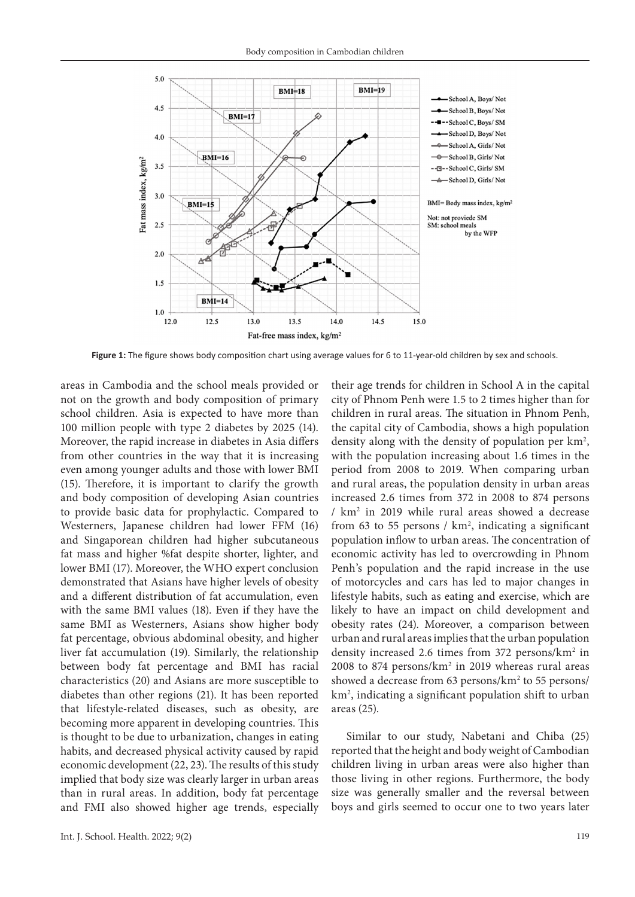

**Figure 1:** The figure shows body composition chart using average values for 6 to 11-year-old children by sex and schools.

areas in Cambodia and the school meals provided or not on the growth and body composition of primary school children. Asia is expected to have more than 100 million people with type 2 diabetes by 2025 (14). Moreover, the rapid increase in diabetes in Asia differs from other countries in the way that it is increasing even among younger adults and those with lower BMI (15). Therefore, it is important to clarify the growth and body composition of developing Asian countries to provide basic data for prophylactic. Compared to Westerners, Japanese children had lower FFM (16) and Singaporean children had higher subcutaneous fat mass and higher %fat despite shorter, lighter, and lower BMI (17). Moreover, the WHO expert conclusion demonstrated that Asians have higher levels of obesity and a different distribution of fat accumulation, even with the same BMI values (18). Even if they have the same BMI as Westerners, Asians show higher body fat percentage, obvious abdominal obesity, and higher liver fat accumulation (19). Similarly, the relationship between body fat percentage and BMI has racial characteristics (20) and Asians are more susceptible to diabetes than other regions (21). It has been reported that lifestyle-related diseases, such as obesity, are becoming more apparent in developing countries. This is thought to be due to urbanization, changes in eating habits, and decreased physical activity caused by rapid economic development (22, 23). The results of this study implied that body size was clearly larger in urban areas than in rural areas. In addition, body fat percentage and FMI also showed higher age trends, especially

their age trends for children in School A in the capital city of Phnom Penh were 1.5 to 2 times higher than for children in rural areas. The situation in Phnom Penh, the capital city of Cambodia, shows a high population density along with the density of population per  $km^2$ , with the population increasing about 1.6 times in the period from 2008 to 2019. When comparing urban and rural areas, the population density in urban areas increased 2.6 times from 372 in 2008 to 874 persons / km2 in 2019 while rural areas showed a decrease from 63 to 55 persons /  $km^2$ , indicating a significant population inflow to urban areas. The concentration of economic activity has led to overcrowding in Phnom Penh's population and the rapid increase in the use of motorcycles and cars has led to major changes in lifestyle habits, such as eating and exercise, which are likely to have an impact on child development and obesity rates (24). Moreover, a comparison between urban and rural areas implies that the urban population density increased 2.6 times from 372 persons/km<sup>2</sup> in 2008 to 874 persons/km2 in 2019 whereas rural areas showed a decrease from 63 persons/km<sup>2</sup> to 55 persons/ km2 , indicating a significant population shift to urban areas (25).

Similar to our study, Nabetani and Chiba (25) reported that the height and body weight of Cambodian children living in urban areas were also higher than those living in other regions. Furthermore, the body size was generally smaller and the reversal between boys and girls seemed to occur one to two years later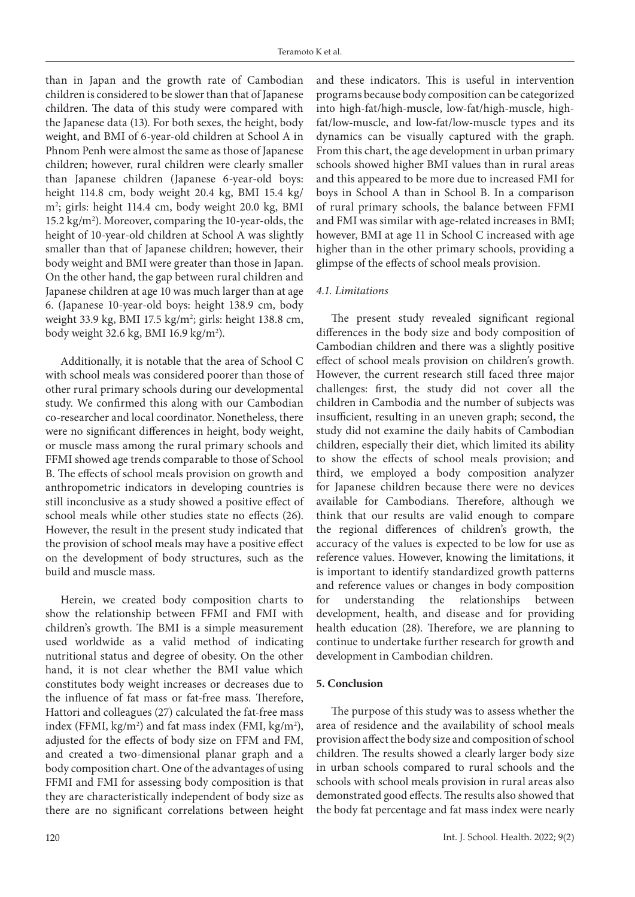than in Japan and the growth rate of Cambodian children is considered to be slower than that of Japanese children. The data of this study were compared with the Japanese data (13). For both sexes, the height, body weight, and BMI of 6-year-old children at School A in Phnom Penh were almost the same as those of Japanese children; however, rural children were clearly smaller than Japanese children (Japanese 6-year-old boys: height 114.8 cm, body weight 20.4 kg, BMI 15.4 kg/ m2 ; girls: height 114.4 cm, body weight 20.0 kg, BMI 15.2 kg/m2 ). Moreover, comparing the 10-year-olds, the height of 10-year-old children at School A was slightly smaller than that of Japanese children; however, their body weight and BMI were greater than those in Japan. On the other hand, the gap between rural children and Japanese children at age 10 was much larger than at age 6. (Japanese 10-year-old boys: height 138.9 cm, body weight 33.9 kg, BMI 17.5 kg/m<sup>2</sup>; girls: height 138.8 cm, body weight 32.6 kg, BMI 16.9 kg/m<sup>2</sup>).

Additionally, it is notable that the area of School C with school meals was considered poorer than those of other rural primary schools during our developmental study. We confirmed this along with our Cambodian co-researcher and local coordinator. Nonetheless, there were no significant differences in height, body weight, or muscle mass among the rural primary schools and FFMI showed age trends comparable to those of School B. The effects of school meals provision on growth and anthropometric indicators in developing countries is still inconclusive as a study showed a positive effect of school meals while other studies state no effects (26). However, the result in the present study indicated that the provision of school meals may have a positive effect on the development of body structures, such as the build and muscle mass.

Herein, we created body composition charts to show the relationship between FFMI and FMI with children's growth. The BMI is a simple measurement used worldwide as a valid method of indicating nutritional status and degree of obesity. On the other hand, it is not clear whether the BMI value which constitutes body weight increases or decreases due to the influence of fat mass or fat-free mass. Therefore, Hattori and colleagues (27) calculated the fat-free mass index (FFMI,  $kg/m<sup>2</sup>$ ) and fat mass index (FMI,  $kg/m<sup>2</sup>$ ), adjusted for the effects of body size on FFM and FM, and created a two-dimensional planar graph and a body composition chart. One of the advantages of using FFMI and FMI for assessing body composition is that they are characteristically independent of body size as there are no significant correlations between height

and these indicators. This is useful in intervention programs because body composition can be categorized into high-fat/high-muscle, low-fat/high-muscle, highfat/low-muscle, and low-fat/low-muscle types and its dynamics can be visually captured with the graph. From this chart, the age development in urban primary schools showed higher BMI values than in rural areas and this appeared to be more due to increased FMI for boys in School A than in School B. In a comparison of rural primary schools, the balance between FFMI and FMI was similar with age-related increases in BMI; however, BMI at age 11 in School C increased with age higher than in the other primary schools, providing a glimpse of the effects of school meals provision.

### *4.1. Limitations*

The present study revealed significant regional differences in the body size and body composition of Cambodian children and there was a slightly positive effect of school meals provision on children's growth. However, the current research still faced three major challenges: first, the study did not cover all the children in Cambodia and the number of subjects was insufficient, resulting in an uneven graph; second, the study did not examine the daily habits of Cambodian children, especially their diet, which limited its ability to show the effects of school meals provision; and third, we employed a body composition analyzer for Japanese children because there were no devices available for Cambodians. Therefore, although we think that our results are valid enough to compare the regional differences of children's growth, the accuracy of the values is expected to be low for use as reference values. However, knowing the limitations, it is important to identify standardized growth patterns and reference values or changes in body composition for understanding the relationships between development, health, and disease and for providing health education (28). Therefore, we are planning to continue to undertake further research for growth and development in Cambodian children.

### **5. Conclusion**

The purpose of this study was to assess whether the area of residence and the availability of school meals provision affect the body size and composition of school children. The results showed a clearly larger body size in urban schools compared to rural schools and the schools with school meals provision in rural areas also demonstrated good effects. The results also showed that the body fat percentage and fat mass index were nearly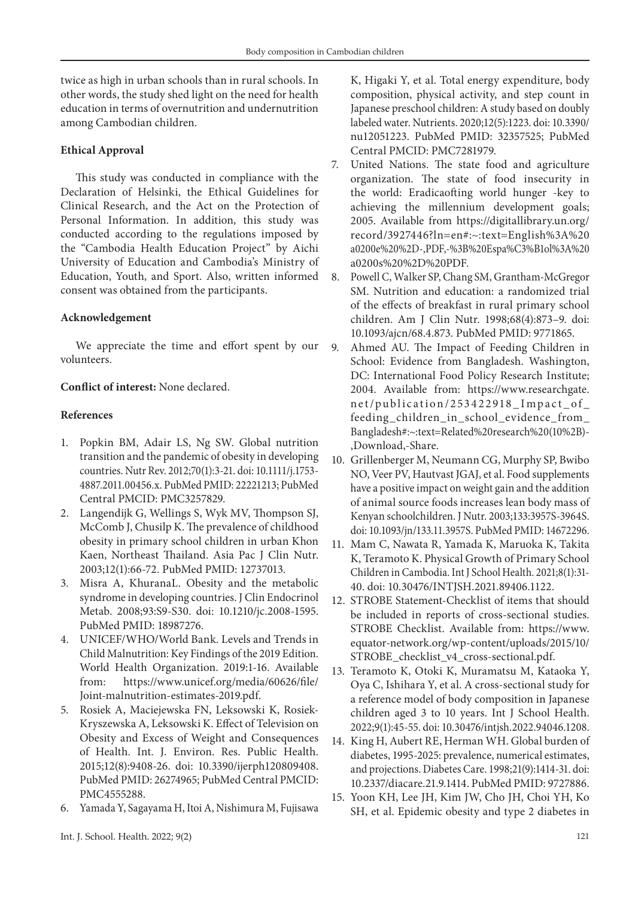twice as high in urban schools than in rural schools. In other words, the study shed light on the need for health education in terms of overnutrition and undernutrition among Cambodian children.

## **Ethical Approval**

This study was conducted in compliance with the Declaration of Helsinki, the Ethical Guidelines for Clinical Research, and the Act on the Protection of Personal Information. In addition, this study was conducted according to the regulations imposed by the "Cambodia Health Education Project" by Aichi University of Education and Cambodia's Ministry of Education, Youth, and Sport. Also, written informed consent was obtained from the participants.

## **Acknowledgement**

We appreciate the time and effort spent by our volunteers.

## **Conflict of interest:** None declared.

## **References**

- 1. Popkin BM, Adair LS, Ng SW. Global nutrition transition and the pandemic of obesity in developing countries. Nutr Rev. 2012;70(1):3-21. doi: 10.1111/j.1753- 4887.2011.00456.x. PubMed PMID: 22221213; PubMed Central PMCID: PMC3257829.
- 2. Langendijk G, Wellings S, Wyk MV, Thompson SJ, McComb J, Chusilp K. The prevalence of childhood obesity in primary school children in urban Khon Kaen, Northeast Thailand. Asia Pac J Clin Nutr. 2003;12(1):66-72. PubMed PMID: 12737013.
- 3. Misra A, KhuranaL. Obesity and the metabolic syndrome in developing countries. J Clin Endocrinol Metab. 2008;93:S9-S30. doi: 10.1210/jc.2008-1595. PubMed PMID: 18987276.
- 4. UNICEF/WHO/World Bank. Levels and Trends in Child Malnutrition: Key Findings of the 2019 Edition. World Health Organization. 2019:1-16. Available from: https://www.unicef.org/media/60626/file/ Joint-malnutrition-estimates-2019.pdf.
- 5. Rosiek A, Maciejewska FN, Leksowski K, Rosiek-Kryszewska A, Leksowski K. Effect of Television on Obesity and Excess of Weight and Consequences of Health. Int. J. Environ. Res. Public Health. 2015;12(8):9408-26. doi: 10.3390/ijerph120809408. PubMed PMID: 26274965; PubMed Central PMCID: PMC4555288.
- 6. Yamada Y, Sagayama H, Itoi A, Nishimura M, Fujisawa

K, Higaki Y, et al. Total energy expenditure, body composition, physical activity, and step count in Japanese preschool children: A study based on doubly labeled water. Nutrients. 2020;12(5):1223. doi: 10.3390/ nu12051223. PubMed PMID: 32357525; PubMed Central PMCID: PMC7281979.

- 7. United Nations. The state food and agriculture organization. The state of food insecurity in the world: Eradicaofting world hunger -key to achieving the millennium development goals; 2005. Available from https://digitallibrary.un.org/ record/3927446?ln=en#:~:text=English%3A%20 a0200e%20%2D-,PDF,-%3B%20Espa%C3%B1ol%3A%20 a0200s%20%2D%20PDF.
- 8. Powell C, Walker SP, Chang SM, Grantham-McGregor SM. Nutrition and education: a randomized trial of the effects of breakfast in rural primary school children. Am J Clin Nutr. 1998;68(4):873–9. doi: 10.1093/ajcn/68.4.873. PubMed PMID: 9771865.
- 9. Ahmed AU. The Impact of Feeding Children in School: Evidence from Bangladesh. Washington, DC: International Food Policy Research Institute; 2004. Available from: https://www.researchgate. net/publication/253422918\_Impact\_of\_ feeding\_children\_in\_school\_evidence\_from\_ Bangladesh#:~:text=Related%20research%20(10%2B)- ,Download,-Share.
- 10. Grillenberger M, Neumann CG, Murphy SP, Bwibo NO, Veer PV, Hautvast JGAJ, et al. Food supplements have a positive impact on weight gain and the addition of animal source foods increases lean body mass of Kenyan schoolchildren. J Nutr. 2003;133:3957S-3964S. doi: 10.1093/jn/133.11.3957S. PubMed PMID: 14672296.
- 11. Mam C, Nawata R, Yamada K, Maruoka K, Takita K, Teramoto K. Physical Growth of Primary School Children in Cambodia. Int J School Health. 2021;8(1):31- 40. doi: 10.30476/INTJSH.2021.89406.1122.
- 12. STROBE Statement-Checklist of items that should be included in reports of cross-sectional studies. STROBE Checklist. Available from: https://www. equator-network.org/wp-content/uploads/2015/10/ STROBE\_checklist\_v4\_cross-sectional.pdf.
- 13. Teramoto K, Otoki K, Muramatsu M, Kataoka Y, Oya C, Ishihara Y, et al. A cross-sectional study for a reference model of body composition in Japanese children aged 3 to 10 years. Int J School Health. 2022;9(1):45-55. doi: 10.30476/intjsh.2022.94046.1208.
- 14. King H, Aubert RE, Herman WH. Global burden of diabetes, 1995-2025: prevalence, numerical estimates, and projections. Diabetes Care. 1998;21(9):1414-31. doi: 10.2337/diacare.21.9.1414. PubMed PMID: 9727886.
- 15. Yoon KH, Lee JH, Kim JW, Cho JH, Choi YH, Ko SH, et al. Epidemic obesity and type 2 diabetes in